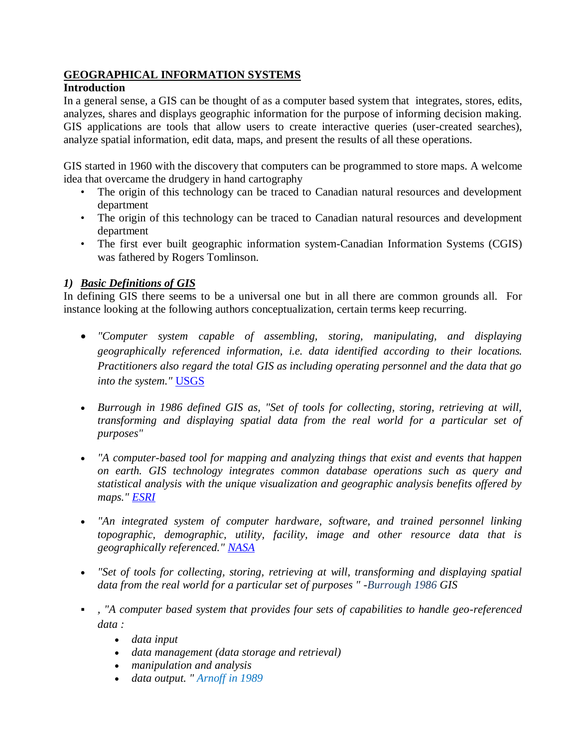## **GEOGRAPHICAL INFORMATION SYSTEMS**

## **Introduction**

In a general sense, a GIS can be thought of as a computer based system that integrates, stores, edits, analyzes, shares and displays geographic information for the purpose of informing decision making. GIS applications are tools that allow users to create interactive queries (user-created searches), analyze spatial information, edit data, maps, and present the results of all these operations.

GIS started in 1960 with the discovery that computers can be programmed to store maps. A welcome idea that overcame the drudgery in hand cartography

- The origin of this technology can be traced to Canadian natural resources and development department
- The origin of this technology can be traced to Canadian natural resources and development department
- The first ever built geographic information system-Canadian Information Systems (CGIS) was fathered by Rogers Tomlinson.

## *1) Basic Definitions of GIS*

In defining GIS there seems to be a universal one but in all there are common grounds all. For instance looking at the following authors conceptualization, certain terms keep recurring.

- *"Computer system capable of assembling, storing, manipulating, and displaying geographically referenced information, i.e. data identified according to their locations. Practitioners also regard the total GIS as including operating personnel and the data that go into the system."* USGS
- *Burrough in 1986 defined GIS as, "Set of tools for collecting, storing, retrieving at will, transforming and displaying spatial data from the real world for a particular set of purposes"*
- *"A computer-based tool for mapping and analyzing things that exist and events that happen on earth. GIS technology integrates common database operations such as query and statistical analysis with the unique visualization and geographic analysis benefits offered by maps." ESRI*
- *"An integrated system of computer hardware, software, and trained personnel linking topographic, demographic, utility, facility, image and other resource data that is geographically referenced." NASA*
- *"Set of tools for collecting, storing, retrieving at will, transforming and displaying spatial data from the real world for a particular set of purposes " -Burrough 1986 GIS*
- *, "A computer based system that provides four sets of capabilities to handle geo-referenced data :* 
	- *data input*
	- *data management (data storage and retrieval)*
	- *manipulation and analysis*
	- *data output. " Arnoff in 1989*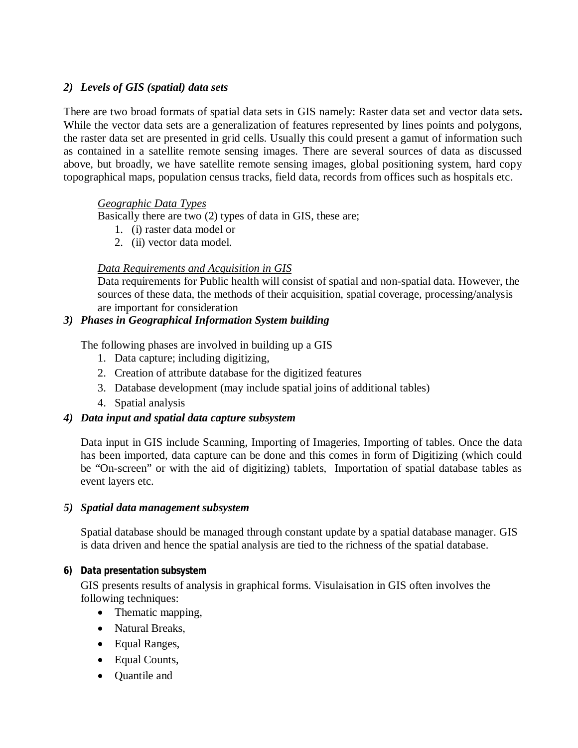## *2) Levels of GIS (spatial) data sets*

There are two broad formats of spatial data sets in GIS namely: Raster data set and vector data sets**.**  While the vector data sets are a generalization of features represented by lines points and polygons, the raster data set are presented in grid cells. Usually this could present a gamut of information such as contained in a satellite remote sensing images. There are several sources of data as discussed above, but broadly, we have satellite remote sensing images, global positioning system, hard copy topographical maps, population census tracks, field data, records from offices such as hospitals etc.

## *Geographic Data Types*

Basically there are two (2) types of data in GIS, these are;

- 1. (i) raster data model or
- 2. (ii) vector data model.

## *Data Requirements and Acquisition in GIS*

Data requirements for Public health will consist of spatial and non-spatial data. However, the sources of these data, the methods of their acquisition, spatial coverage, processing/analysis are important for consideration

## *3) Phases in Geographical Information System building*

The following phases are involved in building up a GIS

- 1. Data capture; including digitizing,
- 2. Creation of attribute database for the digitized features
- 3. Database development (may include spatial joins of additional tables)
- 4. Spatial analysis

## *4) Data input and spatial data capture subsystem*

Data input in GIS include Scanning, Importing of Imageries, Importing of tables. Once the data has been imported, data capture can be done and this comes in form of Digitizing (which could be "On-screen" or with the aid of digitizing) tablets, Importation of spatial database tables as event layers etc.

## *5) Spatial data management subsystem*

Spatial database should be managed through constant update by a spatial database manager. GIS is data driven and hence the spatial analysis are tied to the richness of the spatial database.

## *6) Data presentation subsystem*

GIS presents results of analysis in graphical forms. Visulaisation in GIS often involves the following techniques:

- Thematic mapping,
- Natural Breaks,
- Equal Ranges,
- Equal Counts,
- Quantile and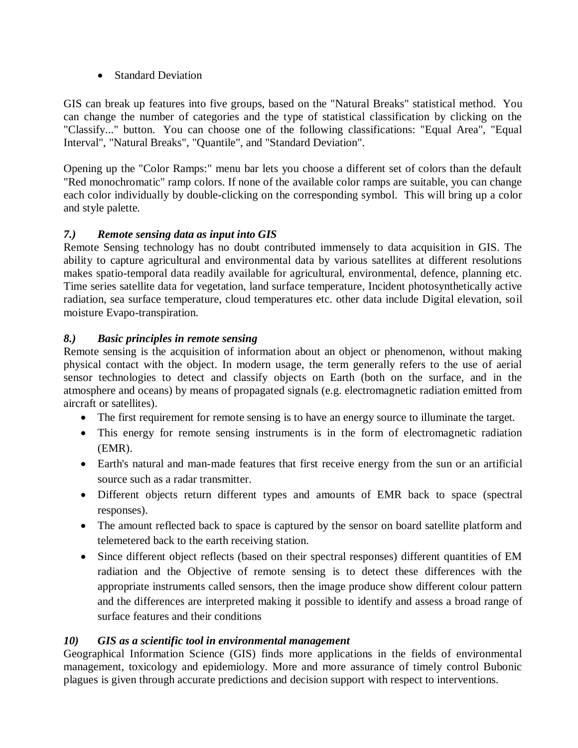• Standard Deviation

GIS can break up features into five groups, based on the "Natural Breaks" statistical method. You can change the number of categories and the type of statistical classification by clicking on the "Classify..." button. You can choose one of the following classifications: "Equal Area", "Equal Interval", "Natural Breaks", "Quantile", and "Standard Deviation".

Opening up the "Color Ramps:" menu bar lets you choose a different set of colors than the default "Red monochromatic" ramp colors. If none of the available color ramps are suitable, you can change each color individually by double-clicking on the corresponding symbol. This will bring up a color and style palette.

# *7.) Remote sensing data as input into GIS*

Remote Sensing technology has no doubt contributed immensely to data acquisition in GIS. The ability to capture agricultural and environmental data by various satellites at different resolutions makes spatio-temporal data readily available for agricultural, environmental, defence, planning etc. Time series satellite data for vegetation, land surface temperature, Incident photosynthetically active radiation, sea surface temperature, cloud temperatures etc. other data include Digital elevation, soil moisture Evapo-transpiration.

# *8.) Basic principles in remote sensing*

Remote sensing is the acquisition of information about an object or phenomenon, without making physical contact with the object. In modern usage, the term generally refers to the use of aerial sensor technologies to detect and classify objects on Earth (both on the surface, and in the atmosphere and oceans) by means of propagated signals (e.g. electromagnetic radiation emitted from aircraft or satellites).

- The first requirement for remote sensing is to have an energy source to illuminate the target.
- This energy for remote sensing instruments is in the form of electromagnetic radiation (EMR).
- Earth's natural and man-made features that first receive energy from the sun or an artificial source such as a radar transmitter.
- Different objects return different types and amounts of EMR back to space (spectral responses).
- The amount reflected back to space is captured by the sensor on board satellite platform and telemetered back to the earth receiving station.
- Since different object reflects (based on their spectral responses) different quantities of EM radiation and the Objective of remote sensing is to detect these differences with the appropriate instruments called sensors, then the image produce show different colour pattern and the differences are interpreted making it possible to identify and assess a broad range of surface features and their conditions

# *10) GIS as a scientific tool in environmental management*

Geographical Information Science (GIS) finds more applications in the fields of environmental management, toxicology and epidemiology. More and more assurance of timely control Bubonic plagues is given through accurate predictions and decision support with respect to interventions.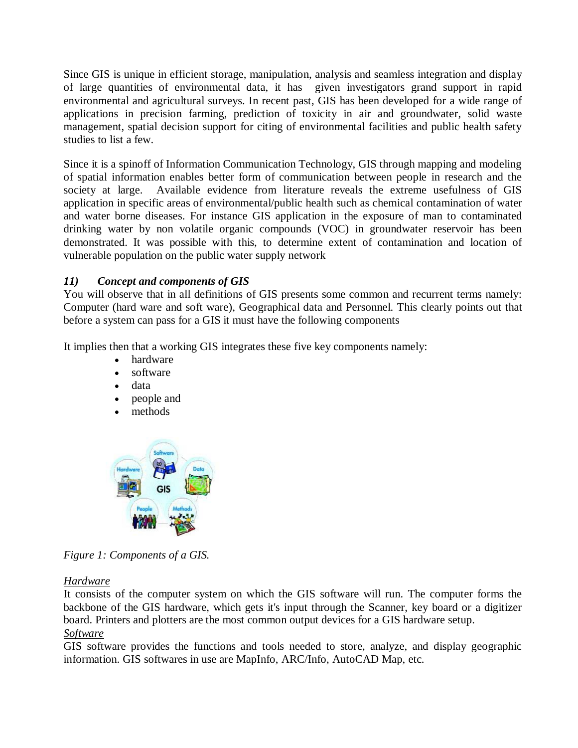Since GIS is unique in efficient storage, manipulation, analysis and seamless integration and display of large quantities of environmental data, it has given investigators grand support in rapid environmental and agricultural surveys. In recent past, GIS has been developed for a wide range of applications in precision farming, prediction of toxicity in air and groundwater, solid waste management, spatial decision support for citing of environmental facilities and public health safety studies to list a few.

Since it is a spinoff of Information Communication Technology, GIS through mapping and modeling of spatial information enables better form of communication between people in research and the society at large. Available evidence from literature reveals the extreme usefulness of GIS application in specific areas of environmental/public health such as chemical contamination of water and water borne diseases. For instance GIS application in the exposure of man to contaminated drinking water by non volatile organic compounds (VOC) in groundwater reservoir has been demonstrated. It was possible with this, to determine extent of contamination and location of vulnerable population on the public water supply network

## *11) Concept and components of GIS*

You will observe that in all definitions of GIS presents some common and recurrent terms namely: Computer (hard ware and soft ware), Geographical data and Personnel. This clearly points out that before a system can pass for a GIS it must have the following components

It implies then that a working GIS integrates these five key components namely:

- hardware
- software
- data
- people and
- methods



*Figure 1: Components of a GIS.*

## *Hardware*

It consists of the computer system on which the GIS software will run. The computer forms the backbone of the GIS hardware, which gets it's input through the Scanner, key board or a digitizer board. Printers and plotters are the most common output devices for a GIS hardware setup. *Software*

GIS software provides the functions and tools needed to store, analyze, and display geographic information. GIS softwares in use are MapInfo, ARC/Info, AutoCAD Map, etc.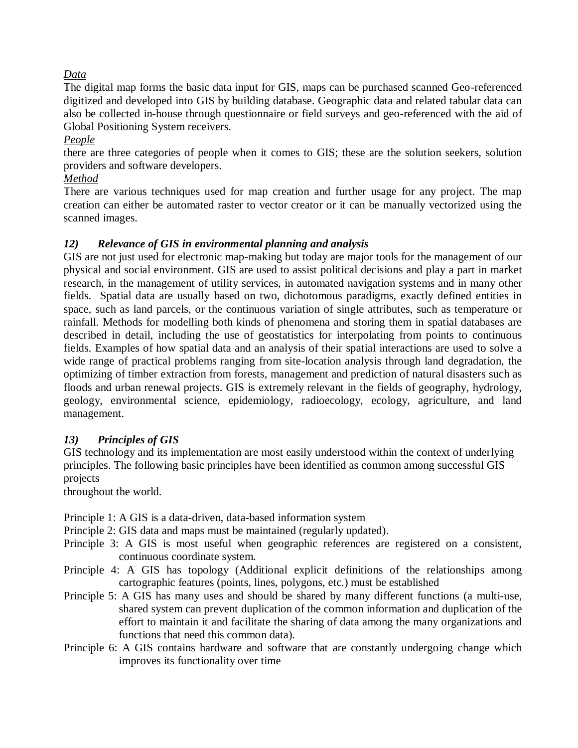## *Data*

The digital map forms the basic data input for GIS, maps can be purchased scanned Geo-referenced digitized and developed into GIS by building database. Geographic data and related tabular data can also be collected in-house through questionnaire or field surveys and geo-referenced with the aid of Global Positioning System receivers.

### *People*

there are three categories of people when it comes to GIS; these are the solution seekers, solution providers and software developers.

## *Method*

There are various techniques used for map creation and further usage for any project. The map creation can either be automated raster to vector creator or it can be manually vectorized using the scanned images.

## *12) Relevance of GIS in environmental planning and analysis*

GIS are not just used for electronic map-making but today are major tools for the management of our physical and social environment. GIS are used to assist political decisions and play a part in market research, in the management of utility services, in automated navigation systems and in many other fields. Spatial data are usually based on two, dichotomous paradigms, exactly defined entities in space, such as land parcels, or the continuous variation of single attributes, such as temperature or rainfall. Methods for modelling both kinds of phenomena and storing them in spatial databases are described in detail, including the use of geostatistics for interpolating from points to continuous fields. Examples of how spatial data and an analysis of their spatial interactions are used to solve a wide range of practical problems ranging from site-location analysis through land degradation, the optimizing of timber extraction from forests, management and prediction of natural disasters such as floods and urban renewal projects. GIS is extremely relevant in the fields of geography, hydrology, geology, environmental science, epidemiology, radioecology, ecology, agriculture, and land management.

## *13) Principles of GIS*

GIS technology and its implementation are most easily understood within the context of underlying principles. The following basic principles have been identified as common among successful GIS projects

throughout the world.

Principle 1: A GIS is a data-driven, data-based information system

Principle 2: GIS data and maps must be maintained (regularly updated).

- Principle 3: A GIS is most useful when geographic references are registered on a consistent, continuous coordinate system.
- Principle 4: A GIS has topology (Additional explicit definitions of the relationships among cartographic features (points, lines, polygons, etc.) must be established
- Principle 5: A GIS has many uses and should be shared by many different functions (a multi-use, shared system can prevent duplication of the common information and duplication of the effort to maintain it and facilitate the sharing of data among the many organizations and functions that need this common data).
- Principle 6: A GIS contains hardware and software that are constantly undergoing change which improves its functionality over time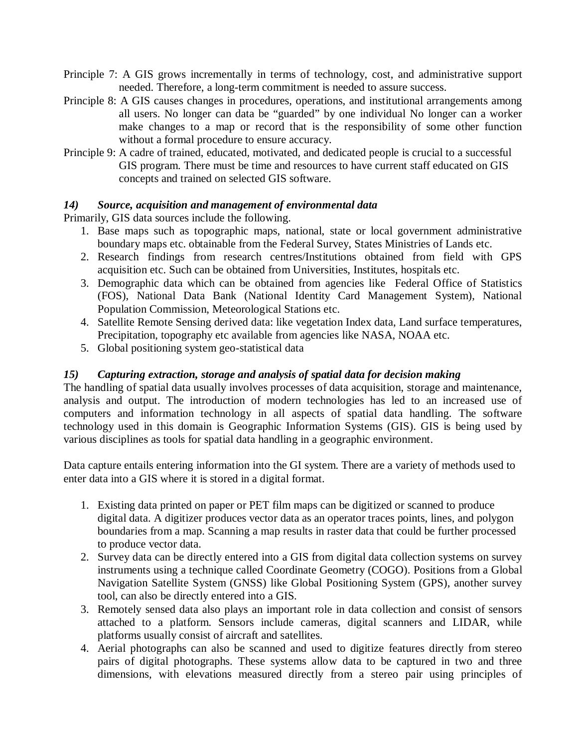- Principle 7: A GIS grows incrementally in terms of technology, cost, and administrative support needed. Therefore, a long-term commitment is needed to assure success.
- Principle 8: A GIS causes changes in procedures, operations, and institutional arrangements among all users. No longer can data be "guarded" by one individual No longer can a worker make changes to a map or record that is the responsibility of some other function without a formal procedure to ensure accuracy.
- Principle 9: A cadre of trained, educated, motivated, and dedicated people is crucial to a successful GIS program. There must be time and resources to have current staff educated on GIS concepts and trained on selected GIS software.

### *14) Source, acquisition and management of environmental data*

Primarily, GIS data sources include the following.

- 1. Base maps such as topographic maps, national, state or local government administrative boundary maps etc. obtainable from the Federal Survey, States Ministries of Lands etc.
- 2. Research findings from research centres/Institutions obtained from field with GPS acquisition etc. Such can be obtained from Universities, Institutes, hospitals etc.
- 3. Demographic data which can be obtained from agencies like Federal Office of Statistics (FOS), National Data Bank (National Identity Card Management System), National Population Commission, Meteorological Stations etc.
- 4. Satellite Remote Sensing derived data: like vegetation Index data, Land surface temperatures, Precipitation, topography etc available from agencies like NASA, NOAA etc.
- 5. Global positioning system geo-statistical data

## *15) Capturing extraction, storage and analysis of spatial data for decision making*

The handling of spatial data usually involves processes of data acquisition, storage and maintenance, analysis and output. The introduction of modern technologies has led to an increased use of computers and information technology in all aspects of spatial data handling. The software technology used in this domain is Geographic Information Systems (GIS). GIS is being used by various disciplines as tools for spatial data handling in a geographic environment.

Data capture entails entering information into the GI system. There are a variety of methods used to enter data into a GIS where it is stored in a digital format.

- 1. Existing data printed on paper or PET film maps can be digitized or scanned to produce digital data. A digitizer produces vector data as an operator traces points, lines, and polygon boundaries from a map. Scanning a map results in raster data that could be further processed to produce vector data.
- 2. Survey data can be directly entered into a GIS from digital data collection systems on survey instruments using a technique called Coordinate Geometry (COGO). Positions from a Global Navigation Satellite System (GNSS) like Global Positioning System (GPS), another survey tool, can also be directly entered into a GIS.
- 3. Remotely sensed data also plays an important role in data collection and consist of sensors attached to a platform. Sensors include cameras, digital scanners and LIDAR, while platforms usually consist of aircraft and satellites.
- 4. Aerial photographs can also be scanned and used to digitize features directly from stereo pairs of digital photographs. These systems allow data to be captured in two and three dimensions, with elevations measured directly from a stereo pair using principles of